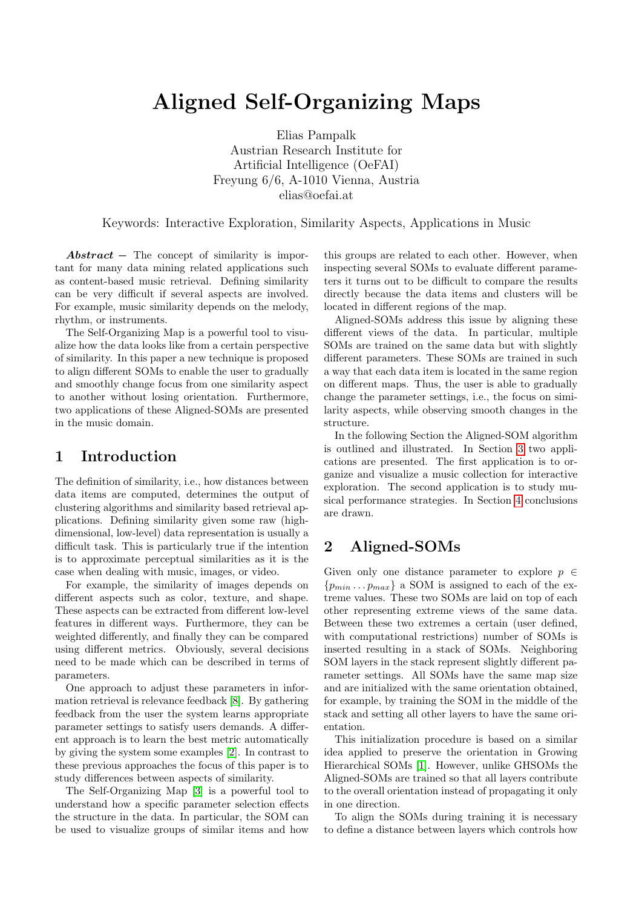# Aligned Self-Organizing Maps

Elias Pampalk Austrian Research Institute for Artificial Intelligence (OeFAI) Freyung 6/6, A-1010 Vienna, Austria elias@oefai.at

Keywords: Interactive Exploration, Similarity Aspects, Applications in Music

 $Abstract - The concept of similarity is impor$ tant for many data mining related applications such as content-based music retrieval. Defining similarity can be very difficult if several aspects are involved. For example, music similarity depends on the melody, rhythm, or instruments.

The Self-Organizing Map is a powerful tool to visualize how the data looks like from a certain perspective of similarity. In this paper a new technique is proposed to align different SOMs to enable the user to gradually and smoothly change focus from one similarity aspect to another without losing orientation. Furthermore, two applications of these Aligned-SOMs are presented in the music domain.

## 1 Introduction

The definition of similarity, i.e., how distances between data items are computed, determines the output of clustering algorithms and similarity based retrieval applications. Defining similarity given some raw (highdimensional, low-level) data representation is usually a difficult task. This is particularly true if the intention is to approximate perceptual similarities as it is the case when dealing with music, images, or video.

For example, the similarity of images depends on different aspects such as color, texture, and shape. These aspects can be extracted from different low-level features in different ways. Furthermore, they can be weighted differently, and finally they can be compared using different metrics. Obviously, several decisions need to be made which can be described in terms of parameters.

One approach to adjust these parameters in information retrieval is relevance feedback [\[8\]](#page-5-0). By gathering feedback from the user the system learns appropriate parameter settings to satisfy users demands. A different approach is to learn the best metric automatically by giving the system some examples [\[2\]](#page-5-1). In contrast to these previous approaches the focus of this paper is to study differences between aspects of similarity.

The Self-Organizing Map [\[3\]](#page-5-2) is a powerful tool to understand how a specific parameter selection effects the structure in the data. In particular, the SOM can be used to visualize groups of similar items and how

this groups are related to each other. However, when inspecting several SOMs to evaluate different parameters it turns out to be difficult to compare the results directly because the data items and clusters will be located in different regions of the map.

Aligned-SOMs address this issue by aligning these different views of the data. In particular, multiple SOMs are trained on the same data but with slightly different parameters. These SOMs are trained in such a way that each data item is located in the same region on different maps. Thus, the user is able to gradually change the parameter settings, i.e., the focus on similarity aspects, while observing smooth changes in the structure.

In the following Section the Aligned-SOM algorithm is outlined and illustrated. In Section [3](#page-1-0) two applications are presented. The first application is to organize and visualize a music collection for interactive exploration. The second application is to study musical performance strategies. In Section [4](#page-4-0) conclusions are drawn.

## 2 Aligned-SOMs

Given only one distance parameter to explore  $p \in$  ${p_{min} \dots p_{max}}$  a SOM is assigned to each of the extreme values. These two SOMs are laid on top of each other representing extreme views of the same data. Between these two extremes a certain (user defined, with computational restrictions) number of SOMs is inserted resulting in a stack of SOMs. Neighboring SOM layers in the stack represent slightly different parameter settings. All SOMs have the same map size and are initialized with the same orientation obtained, for example, by training the SOM in the middle of the stack and setting all other layers to have the same orientation.

This initialization procedure is based on a similar idea applied to preserve the orientation in Growing Hierarchical SOMs [\[1\]](#page-5-3). However, unlike GHSOMs the Aligned-SOMs are trained so that all layers contribute to the overall orientation instead of propagating it only in one direction.

To align the SOMs during training it is necessary to define a distance between layers which controls how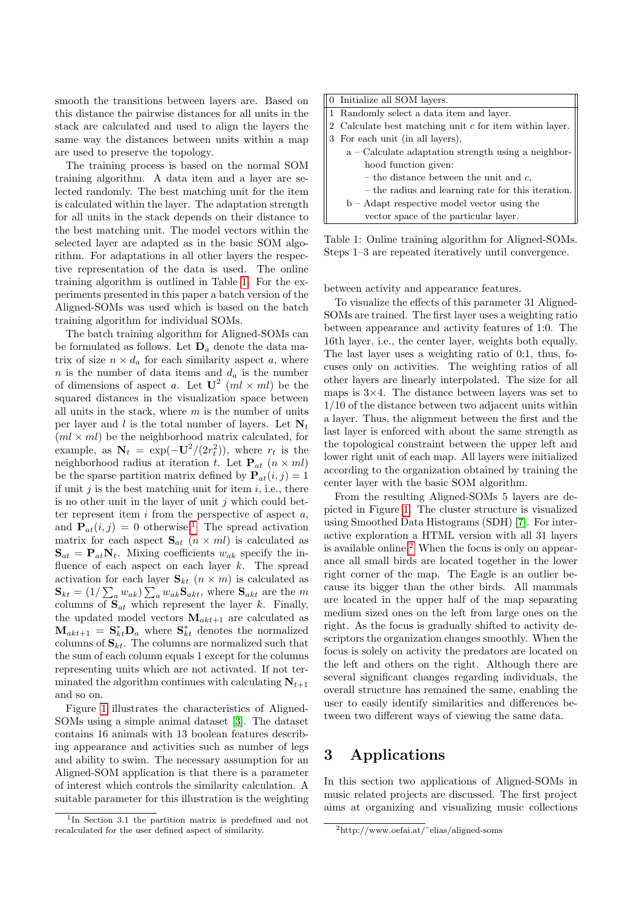smooth the transitions between layers are. Based on this distance the pairwise distances for all units in the stack are calculated and used to align the layers the same way the distances between units within a map are used to preserve the topology.

The training process is based on the normal SOM training algorithm. A data item and a layer are selected randomly. The best matching unit for the item is calculated within the layer. The adaptation strength for all units in the stack depends on their distance to the best matching unit. The model vectors within the selected layer are adapted as in the basic SOM algorithm. For adaptations in all other layers the respective representation of the data is used. The online training algorithm is outlined in Table [1.](#page-1-1) For the experiments presented in this paper a batch version of the Aligned-SOMs was used which is based on the batch training algorithm for individual SOMs.

The batch training algorithm for Aligned-SOMs can be formulated as follows. Let  $D_a$  denote the data matrix of size  $n \times d_a$  for each similarity aspect a, where n is the number of data items and  $d_a$  is the number of dimensions of aspect a. Let  $\mathbf{U}^2$   $(ml \times ml)$  be the squared distances in the visualization space between all units in the stack, where  $m$  is the number of units per layer and l is the total number of layers. Let  $N_t$  $(ml \times ml)$  be the neighborhood matrix calculated, for example, as  $N_t = \exp(-U^2/(2r_t^2))$ , where  $r_t$  is the neighborhood radius at iteration t. Let  $P_{at}$   $(n \times ml)$ be the sparse partition matrix defined by  $P_{at}(i, j) = 1$ if unit  $j$  is the best matching unit for item  $i$ , i.e., there is no other unit in the layer of unit  $j$  which could better represent item  $i$  from the perspective of aspect  $a$ , and  $\mathbf{P}_{at}(i, j) = 0$  otherwise.<sup>[1](#page-1-2)</sup> The spread activation matrix for each aspect  $S_{at}$   $(n \times ml)$  is calculated as  $S_{at} = P_{at}N_t$ . Mixing coefficients  $w_{ak}$  specify the influence of each aspect on each layer  $k$ . The spread activation for each layer  $\mathbf{S}_{kt}$   $(n \times m)$  is calculated as  $\mathbf{S}_{kt} = (1/\sum_{a} w_{ak}) \sum_{a} w_{ak} \mathbf{S}_{akt}$ , where  $\mathbf{S}_{akt}$  are the m columns of  $S_{at}$  which represent the layer k. Finally, the updated model vectors  $\mathbf{M}_{akt+1}$  are calculated as  $\mathbf{M}_{akt+1} = \mathbf{S}_{kt}^* \mathbf{D}_a$  where  $\mathbf{S}_{kt}^*$  denotes the normalized columns of  $S_{kt}$ . The columns are normalized such that the sum of each column equals 1 except for the columns representing units which are not activated. If not terminated the algorithm continues with calculating  $N_{t+1}$ and so on.

Figure [1](#page-2-0) illustrates the characteristics of Aligned-SOMs using a simple animal dataset [\[3\]](#page-5-2). The dataset contains 16 animals with 13 boolean features describing appearance and activities such as number of legs and ability to swim. The necessary assumption for an Aligned-SOM application is that there is a parameter of interest which controls the similarity calculation. A suitable parameter for this illustration is the weighting

| 0 Initialize all SOM layers.                              |
|-----------------------------------------------------------|
| 1 Randomly select a data item and layer.                  |
| 2 Calculate best matching unit $c$ for item within layer. |
| 3 For each unit (in all layers),                          |
| $a - Calculated$ adaptation strength using a neighbor-    |
| hood function given:                                      |
| – the distance between the unit and $c$ ,                 |
| - the radius and learning rate for this iteration.        |
| $b - Adapt$ respective model vector using the             |
| vector space of the particular layer.                     |

<span id="page-1-1"></span>Table 1: Online training algorithm for Aligned-SOMs. Steps 1–3 are repeated iteratively until convergence.

between activity and appearance features.

To visualize the effects of this parameter 31 Aligned-SOMs are trained. The first layer uses a weighting ratio between appearance and activity features of 1:0. The 16th layer, i.e., the center layer, weights both equally. The last layer uses a weighting ratio of 0:1, thus, focuses only on activities. The weighting ratios of all other layers are linearly interpolated. The size for all maps is  $3\times4$ . The distance between layers was set to 1/10 of the distance between two adjacent units within a layer. Thus, the alignment between the first and the last layer is enforced with about the same strength as the topological constraint between the upper left and lower right unit of each map. All layers were initialized according to the organization obtained by training the center layer with the basic SOM algorithm.

From the resulting Aligned-SOMs 5 layers are depicted in Figure [1.](#page-2-0) The cluster structure is visualized using Smoothed Data Histograms (SDH) [\[7\]](#page-5-4). For interactive exploration a HTML version with all 31 layers is available online.[2](#page-1-3) When the focus is only on appearance all small birds are located together in the lower right corner of the map. The Eagle is an outlier because its bigger than the other birds. All mammals are located in the upper half of the map separating medium sized ones on the left from large ones on the right. As the focus is gradually shifted to activity descriptors the organization changes smoothly. When the focus is solely on activity the predators are located on the left and others on the right. Although there are several significant changes regarding individuals, the overall structure has remained the same, enabling the user to easily identify similarities and differences between two different ways of viewing the same data.

# <span id="page-1-0"></span>3 Applications

In this section two applications of Aligned-SOMs in music related projects are discussed. The first project aims at organizing and visualizing music collections

<span id="page-1-2"></span><sup>&</sup>lt;sup>1</sup>In Section 3.1 the partition matrix is predefined and not recalculated for the user defined aspect of similarity.

<span id="page-1-3"></span><sup>2</sup>http://www.oefai.at/˜elias/aligned-soms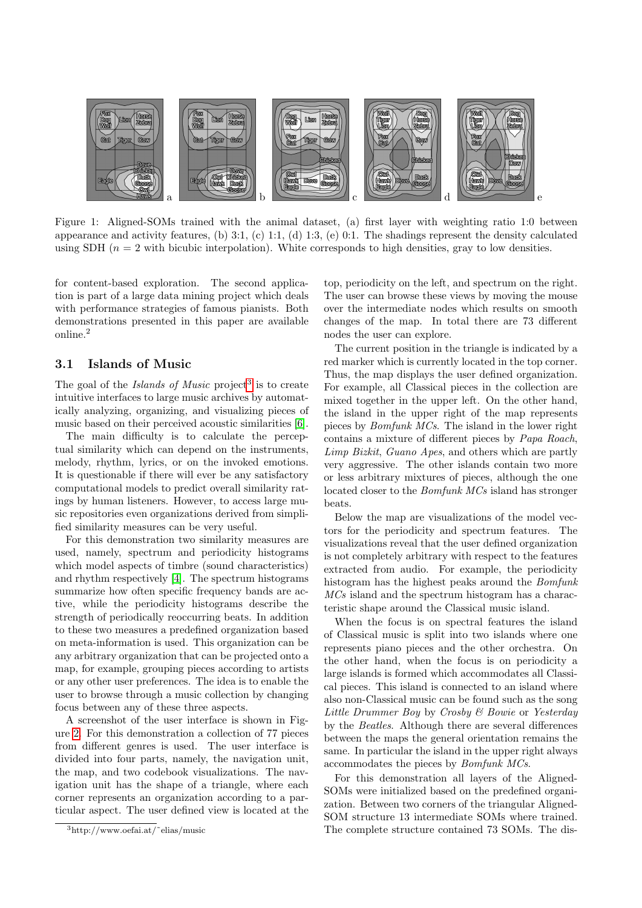

<span id="page-2-0"></span>Figure 1: Aligned-SOMs trained with the animal dataset, (a) first layer with weighting ratio 1:0 between appearance and activity features, (b) 3:1, (c) 1:1, (d) 1:3, (e) 0:1. The shadings represent the density calculated using SDH  $(n = 2$  with bicubic interpolation). White corresponds to high densities, gray to low densities.

for content-based exploration. The second application is part of a large data mining project which deals with performance strategies of famous pianists. Both demonstrations presented in this paper are available online.<sup>2</sup>

#### 3.1 Islands of Music

The goal of the *Islands of Music* project<sup>[3](#page-2-1)</sup> is to create intuitive interfaces to large music archives by automatically analyzing, organizing, and visualizing pieces of music based on their perceived acoustic similarities [\[6\]](#page-5-5).

The main difficulty is to calculate the perceptual similarity which can depend on the instruments, melody, rhythm, lyrics, or on the invoked emotions. It is questionable if there will ever be any satisfactory computational models to predict overall similarity ratings by human listeners. However, to access large music repositories even organizations derived from simplified similarity measures can be very useful.

For this demonstration two similarity measures are used, namely, spectrum and periodicity histograms which model aspects of timbre (sound characteristics) and rhythm respectively [\[4\]](#page-5-6). The spectrum histograms summarize how often specific frequency bands are active, while the periodicity histograms describe the strength of periodically reoccurring beats. In addition to these two measures a predefined organization based on meta-information is used. This organization can be any arbitrary organization that can be projected onto a map, for example, grouping pieces according to artists or any other user preferences. The idea is to enable the user to browse through a music collection by changing focus between any of these three aspects.

A screenshot of the user interface is shown in Figure [2.](#page-3-0) For this demonstration a collection of 77 pieces from different genres is used. The user interface is divided into four parts, namely, the navigation unit, the map, and two codebook visualizations. The navigation unit has the shape of a triangle, where each corner represents an organization according to a particular aspect. The user defined view is located at the top, periodicity on the left, and spectrum on the right. The user can browse these views by moving the mouse over the intermediate nodes which results on smooth changes of the map. In total there are 73 different nodes the user can explore.

The current position in the triangle is indicated by a red marker which is currently located in the top corner. Thus, the map displays the user defined organization. For example, all Classical pieces in the collection are mixed together in the upper left. On the other hand, the island in the upper right of the map represents pieces by Bomfunk MCs. The island in the lower right contains a mixture of different pieces by Papa Roach, Limp Bizkit, Guano Apes, and others which are partly very aggressive. The other islands contain two more or less arbitrary mixtures of pieces, although the one located closer to the Bomfunk MCs island has stronger beats.

Below the map are visualizations of the model vectors for the periodicity and spectrum features. The visualizations reveal that the user defined organization is not completely arbitrary with respect to the features extracted from audio. For example, the periodicity histogram has the highest peaks around the Bomfunk MCs island and the spectrum histogram has a characteristic shape around the Classical music island.

When the focus is on spectral features the island of Classical music is split into two islands where one represents piano pieces and the other orchestra. On the other hand, when the focus is on periodicity a large islands is formed which accommodates all Classical pieces. This island is connected to an island where also non-Classical music can be found such as the song Little Drummer Boy by Crosby & Bowie or Yesterday by the Beatles. Although there are several differences between the maps the general orientation remains the same. In particular the island in the upper right always accommodates the pieces by Bomfunk MCs.

For this demonstration all layers of the Aligned-SOMs were initialized based on the predefined organization. Between two corners of the triangular Aligned-SOM structure 13 intermediate SOMs where trained. The complete structure contained 73 SOMs. The dis-

<span id="page-2-1"></span><sup>3</sup>http://www.oefai.at/˜elias/music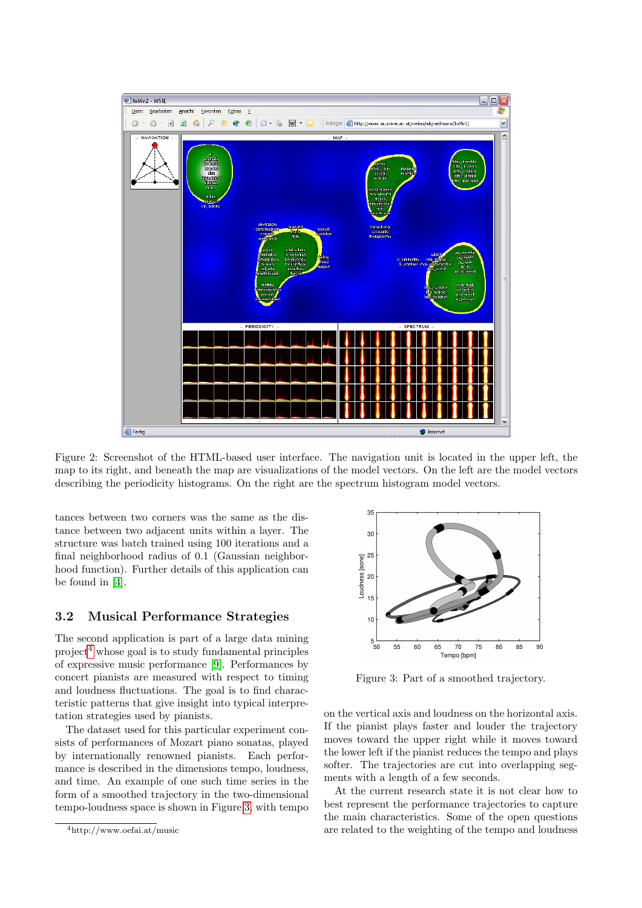

<span id="page-3-0"></span>Figure 2: Screenshot of the HTML-based user interface. The navigation unit is located in the upper left, the map to its right, and beneath the map are visualizations of the model vectors. On the left are the model vectors describing the periodicity histograms. On the right are the spectrum histogram model vectors.

tances between two corners was the same as the distance between two adjacent units within a layer. The structure was batch trained using 100 iterations and a final neighborhood radius of 0.1 (Gaussian neighborhood function). Further details of this application can be found in [\[4\]](#page-5-6).

#### 3.2 Musical Performance Strategies

The second application is part of a large data mining project<sup>[4](#page-3-1)</sup> whose goal is to study fundamental principles of expressive music performance [\[9\]](#page-5-7). Performances by concert pianists are measured with respect to timing and loudness fluctuations. The goal is to find characteristic patterns that give insight into typical interpretation strategies used by pianists.

The dataset used for this particular experiment consists of performances of Mozart piano sonatas, played by internationally renowned pianists. Each performance is described in the dimensions tempo, loudness, and time. An example of one such time series in the form of a smoothed trajectory in the two-dimensional tempo-loudness space is shown in Figure [3,](#page-3-2) with tempo



<span id="page-3-2"></span>Figure 3: Part of a smoothed trajectory.

on the vertical axis and loudness on the horizontal axis. If the pianist plays faster and louder the trajectory moves toward the upper right while it moves toward the lower left if the pianist reduces the tempo and plays softer. The trajectories are cut into overlapping segments with a length of a few seconds.

At the current research state it is not clear how to best represent the performance trajectories to capture the main characteristics. Some of the open questions are related to the weighting of the tempo and loudness

<span id="page-3-1"></span> $^4 \mbox{http://www.oefai.at/music}$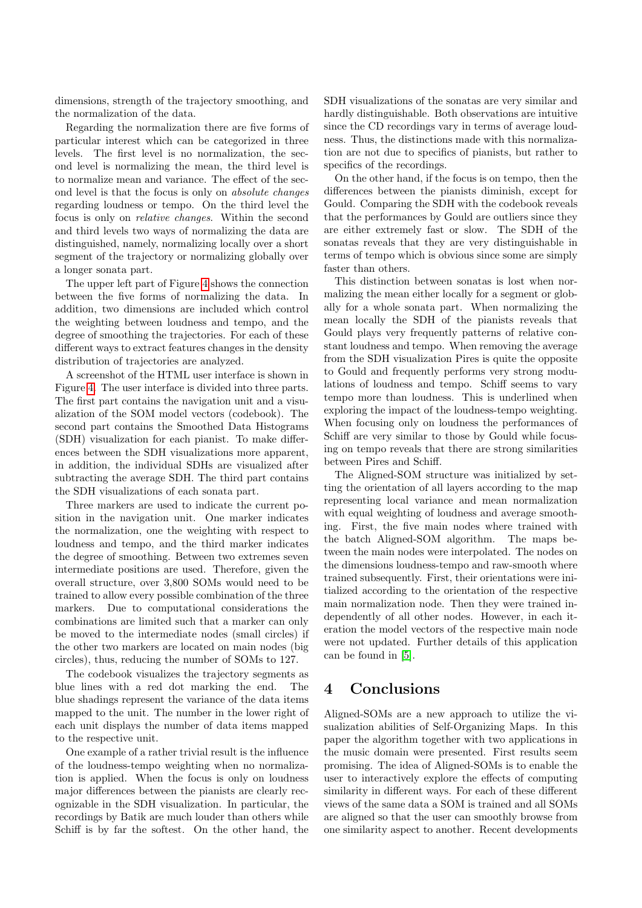dimensions, strength of the trajectory smoothing, and the normalization of the data.

Regarding the normalization there are five forms of particular interest which can be categorized in three levels. The first level is no normalization, the second level is normalizing the mean, the third level is to normalize mean and variance. The effect of the second level is that the focus is only on absolute changes regarding loudness or tempo. On the third level the focus is only on relative changes. Within the second and third levels two ways of normalizing the data are distinguished, namely, normalizing locally over a short segment of the trajectory or normalizing globally over a longer sonata part.

The upper left part of Figure [4](#page-5-8) shows the connection between the five forms of normalizing the data. In addition, two dimensions are included which control the weighting between loudness and tempo, and the degree of smoothing the trajectories. For each of these different ways to extract features changes in the density distribution of trajectories are analyzed.

A screenshot of the HTML user interface is shown in Figure [4.](#page-5-8) The user interface is divided into three parts. The first part contains the navigation unit and a visualization of the SOM model vectors (codebook). The second part contains the Smoothed Data Histograms (SDH) visualization for each pianist. To make differences between the SDH visualizations more apparent, in addition, the individual SDHs are visualized after subtracting the average SDH. The third part contains the SDH visualizations of each sonata part.

Three markers are used to indicate the current position in the navigation unit. One marker indicates the normalization, one the weighting with respect to loudness and tempo, and the third marker indicates the degree of smoothing. Between two extremes seven intermediate positions are used. Therefore, given the overall structure, over 3,800 SOMs would need to be trained to allow every possible combination of the three markers. Due to computational considerations the combinations are limited such that a marker can only be moved to the intermediate nodes (small circles) if the other two markers are located on main nodes (big circles), thus, reducing the number of SOMs to 127.

The codebook visualizes the trajectory segments as blue lines with a red dot marking the end. The blue shadings represent the variance of the data items mapped to the unit. The number in the lower right of each unit displays the number of data items mapped to the respective unit.

One example of a rather trivial result is the influence of the loudness-tempo weighting when no normalization is applied. When the focus is only on loudness major differences between the pianists are clearly recognizable in the SDH visualization. In particular, the recordings by Batik are much louder than others while Schiff is by far the softest. On the other hand, the

SDH visualizations of the sonatas are very similar and hardly distinguishable. Both observations are intuitive since the CD recordings vary in terms of average loudness. Thus, the distinctions made with this normalization are not due to specifics of pianists, but rather to specifics of the recordings.

On the other hand, if the focus is on tempo, then the differences between the pianists diminish, except for Gould. Comparing the SDH with the codebook reveals that the performances by Gould are outliers since they are either extremely fast or slow. The SDH of the sonatas reveals that they are very distinguishable in terms of tempo which is obvious since some are simply faster than others.

This distinction between sonatas is lost when normalizing the mean either locally for a segment or globally for a whole sonata part. When normalizing the mean locally the SDH of the pianists reveals that Gould plays very frequently patterns of relative constant loudness and tempo. When removing the average from the SDH visualization Pires is quite the opposite to Gould and frequently performs very strong modulations of loudness and tempo. Schiff seems to vary tempo more than loudness. This is underlined when exploring the impact of the loudness-tempo weighting. When focusing only on loudness the performances of Schiff are very similar to those by Gould while focusing on tempo reveals that there are strong similarities between Pires and Schiff.

The Aligned-SOM structure was initialized by setting the orientation of all layers according to the map representing local variance and mean normalization with equal weighting of loudness and average smoothing. First, the five main nodes where trained with the batch Aligned-SOM algorithm. The maps between the main nodes were interpolated. The nodes on the dimensions loudness-tempo and raw-smooth where trained subsequently. First, their orientations were initialized according to the orientation of the respective main normalization node. Then they were trained independently of all other nodes. However, in each iteration the model vectors of the respective main node were not updated. Further details of this application can be found in [\[5\]](#page-5-9).

# <span id="page-4-0"></span>4 Conclusions

Aligned-SOMs are a new approach to utilize the visualization abilities of Self-Organizing Maps. In this paper the algorithm together with two applications in the music domain were presented. First results seem promising. The idea of Aligned-SOMs is to enable the user to interactively explore the effects of computing similarity in different ways. For each of these different views of the same data a SOM is trained and all SOMs are aligned so that the user can smoothly browse from one similarity aspect to another. Recent developments